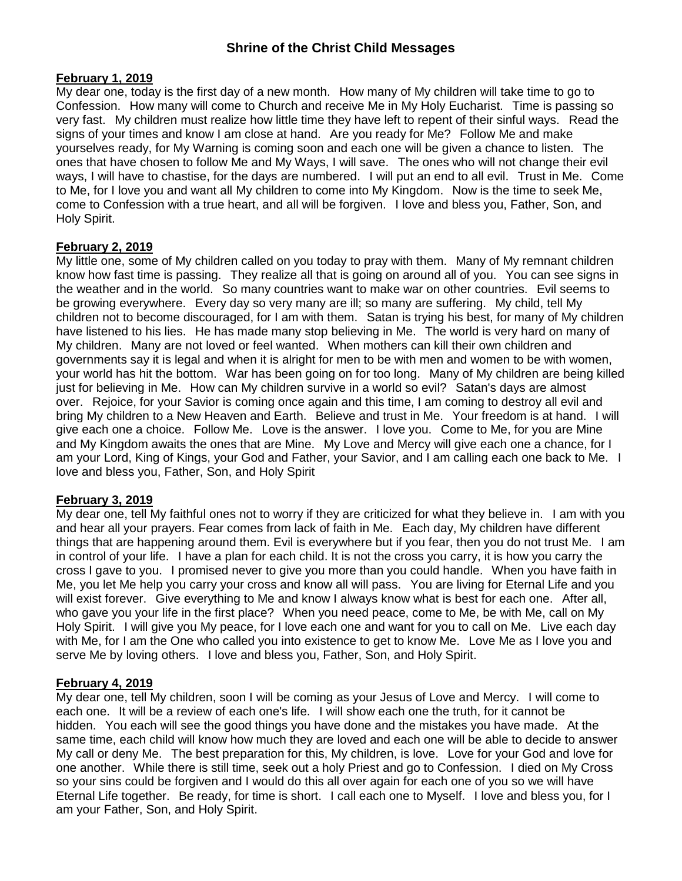#### **February 1, 2019**

My dear one, today is the first day of a new month. How many of My children will take time to go to Confession. How many will come to Church and receive Me in My Holy Eucharist. Time is passing so very fast. My children must realize how little time they have left to repent of their sinful ways. Read the signs of your times and know I am close at hand. Are you ready for Me? Follow Me and make yourselves ready, for My Warning is coming soon and each one will be given a chance to listen. The ones that have chosen to follow Me and My Ways, I will save. The ones who will not change their evil ways, I will have to chastise, for the days are numbered. I will put an end to all evil. Trust in Me. Come to Me, for I love you and want all My children to come into My Kingdom. Now is the time to seek Me, come to Confession with a true heart, and all will be forgiven. I love and bless you, Father, Son, and Holy Spirit.

#### **February 2, 2019**

My little one, some of My children called on you today to pray with them. Many of My remnant children know how fast time is passing. They realize all that is going on around all of you. You can see signs in the weather and in the world. So many countries want to make war on other countries. Evil seems to be growing everywhere. Every day so very many are ill; so many are suffering. My child, tell My children not to become discouraged, for I am with them. Satan is trying his best, for many of My children have listened to his lies. He has made many stop believing in Me. The world is very hard on many of My children. Many are not loved or feel wanted. When mothers can kill their own children and governments say it is legal and when it is alright for men to be with men and women to be with women, your world has hit the bottom. War has been going on for too long. Many of My children are being killed just for believing in Me. How can My children survive in a world so evil? Satan's days are almost over. Rejoice, for your Savior is coming once again and this time, I am coming to destroy all evil and bring My children to a New Heaven and Earth. Believe and trust in Me. Your freedom is at hand. I will give each one a choice. Follow Me. Love is the answer. I love you. Come to Me, for you are Mine and My Kingdom awaits the ones that are Mine. My Love and Mercy will give each one a chance, for I am your Lord, King of Kings, your God and Father, your Savior, and I am calling each one back to Me. I love and bless you, Father, Son, and Holy Spirit

#### **February 3, 2019**

My dear one, tell My faithful ones not to worry if they are criticized for what they believe in. I am with you and hear all your prayers. Fear comes from lack of faith in Me. Each day, My children have different things that are happening around them. Evil is everywhere but if you fear, then you do not trust Me. I am in control of your life. I have a plan for each child. It is not the cross you carry, it is how you carry the cross I gave to you. I promised never to give you more than you could handle. When you have faith in Me, you let Me help you carry your cross and know all will pass. You are living for Eternal Life and you will exist forever. Give everything to Me and know I always know what is best for each one. After all, who gave you your life in the first place? When you need peace, come to Me, be with Me, call on My Holy Spirit. I will give you My peace, for I love each one and want for you to call on Me. Live each day with Me, for I am the One who called you into existence to get to know Me. Love Me as I love you and serve Me by loving others. I love and bless you, Father, Son, and Holy Spirit.

#### **February 4, 2019**

My dear one, tell My children, soon I will be coming as your Jesus of Love and Mercy. I will come to each one. It will be a review of each one's life. I will show each one the truth, for it cannot be hidden. You each will see the good things you have done and the mistakes you have made. At the same time, each child will know how much they are loved and each one will be able to decide to answer My call or deny Me. The best preparation for this, My children, is love. Love for your God and love for one another. While there is still time, seek out a holy Priest and go to Confession. I died on My Cross so your sins could be forgiven and I would do this all over again for each one of you so we will have Eternal Life together. Be ready, for time is short. I call each one to Myself. I love and bless you, for I am your Father, Son, and Holy Spirit.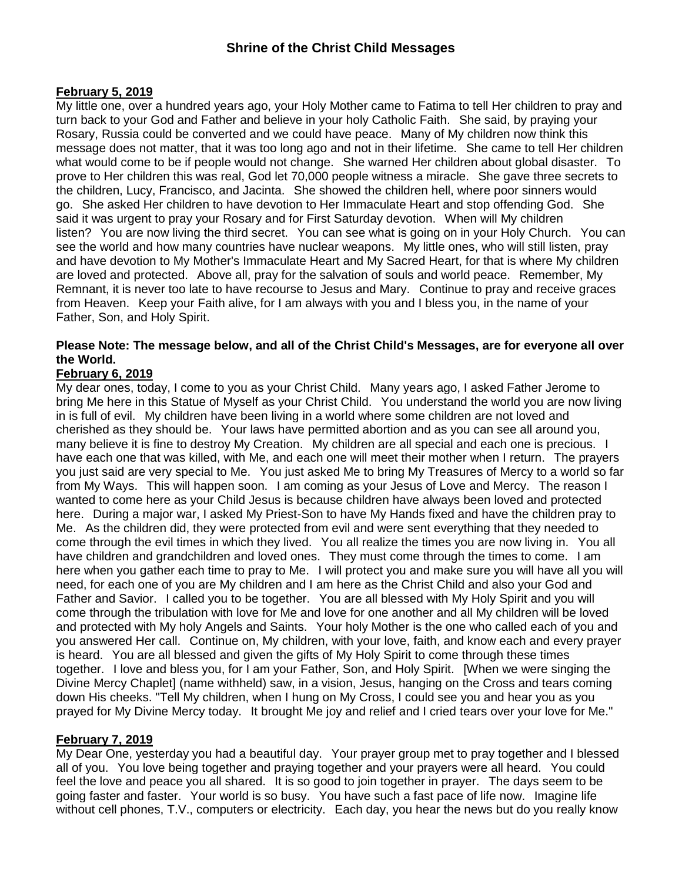### **February 5, 2019**

My little one, over a hundred years ago, your Holy Mother came to Fatima to tell Her children to pray and turn back to your God and Father and believe in your holy Catholic Faith. She said, by praying your Rosary, Russia could be converted and we could have peace. Many of My children now think this message does not matter, that it was too long ago and not in their lifetime. She came to tell Her children what would come to be if people would not change. She warned Her children about global disaster. To prove to Her children this was real, God let 70,000 people witness a miracle. She gave three secrets to the children, Lucy, Francisco, and Jacinta. She showed the children hell, where poor sinners would go. She asked Her children to have devotion to Her Immaculate Heart and stop offending God. She said it was urgent to pray your Rosary and for First Saturday devotion. When will My children listen? You are now living the third secret. You can see what is going on in your Holy Church. You can see the world and how many countries have nuclear weapons. My little ones, who will still listen, pray and have devotion to My Mother's Immaculate Heart and My Sacred Heart, for that is where My children are loved and protected. Above all, pray for the salvation of souls and world peace. Remember, My Remnant, it is never too late to have recourse to Jesus and Mary. Continue to pray and receive graces from Heaven. Keep your Faith alive, for I am always with you and I bless you, in the name of your Father, Son, and Holy Spirit.

### **Please Note: The message below, and all of the Christ Child's Messages, are for everyone all over the World.**

### **February 6, 2019**

My dear ones, today, I come to you as your Christ Child. Many years ago, I asked Father Jerome to bring Me here in this Statue of Myself as your Christ Child. You understand the world you are now living in is full of evil. My children have been living in a world where some children are not loved and cherished as they should be. Your laws have permitted abortion and as you can see all around you, many believe it is fine to destroy My Creation. My children are all special and each one is precious. I have each one that was killed, with Me, and each one will meet their mother when I return. The prayers you just said are very special to Me. You just asked Me to bring My Treasures of Mercy to a world so far from My Ways. This will happen soon. I am coming as your Jesus of Love and Mercy. The reason I wanted to come here as your Child Jesus is because children have always been loved and protected here. During a major war, I asked My Priest-Son to have My Hands fixed and have the children pray to Me. As the children did, they were protected from evil and were sent everything that they needed to come through the evil times in which they lived. You all realize the times you are now living in. You all have children and grandchildren and loved ones. They must come through the times to come. I am here when you gather each time to pray to Me. I will protect you and make sure you will have all you will need, for each one of you are My children and I am here as the Christ Child and also your God and Father and Savior. I called you to be together. You are all blessed with My Holy Spirit and you will come through the tribulation with love for Me and love for one another and all My children will be loved and protected with My holy Angels and Saints. Your holy Mother is the one who called each of you and you answered Her call. Continue on, My children, with your love, faith, and know each and every prayer is heard. You are all blessed and given the gifts of My Holy Spirit to come through these times together. I love and bless you, for I am your Father, Son, and Holy Spirit. [When we were singing the Divine Mercy Chaplet] (name withheld) saw, in a vision, Jesus, hanging on the Cross and tears coming down His cheeks. "Tell My children, when I hung on My Cross, I could see you and hear you as you prayed for My Divine Mercy today. It brought Me joy and relief and I cried tears over your love for Me."

#### **February 7, 2019**

My Dear One, yesterday you had a beautiful day. Your prayer group met to pray together and I blessed all of you. You love being together and praying together and your prayers were all heard. You could feel the love and peace you all shared. It is so good to join together in prayer. The days seem to be going faster and faster. Your world is so busy. You have such a fast pace of life now. Imagine life without cell phones, T.V., computers or electricity. Each day, you hear the news but do you really know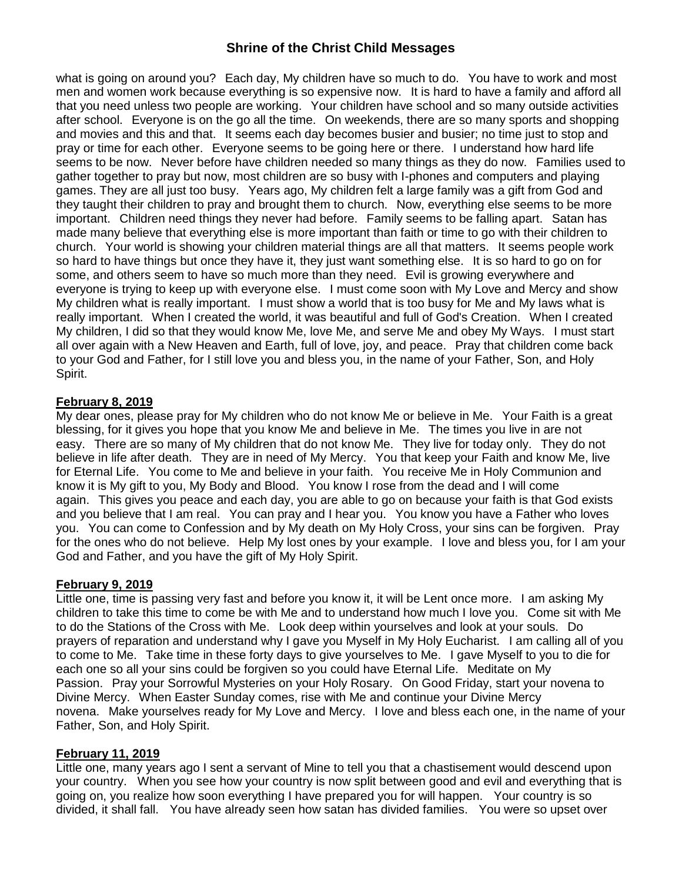what is going on around you? Each day, My children have so much to do. You have to work and most men and women work because everything is so expensive now. It is hard to have a family and afford all that you need unless two people are working. Your children have school and so many outside activities after school. Everyone is on the go all the time. On weekends, there are so many sports and shopping and movies and this and that. It seems each day becomes busier and busier; no time just to stop and pray or time for each other. Everyone seems to be going here or there. I understand how hard life seems to be now. Never before have children needed so many things as they do now. Families used to gather together to pray but now, most children are so busy with I-phones and computers and playing games. They are all just too busy. Years ago, My children felt a large family was a gift from God and they taught their children to pray and brought them to church. Now, everything else seems to be more important. Children need things they never had before. Family seems to be falling apart. Satan has made many believe that everything else is more important than faith or time to go with their children to church. Your world is showing your children material things are all that matters. It seems people work so hard to have things but once they have it, they just want something else. It is so hard to go on for some, and others seem to have so much more than they need. Evil is growing everywhere and everyone is trying to keep up with everyone else. I must come soon with My Love and Mercy and show My children what is really important. I must show a world that is too busy for Me and My laws what is really important. When I created the world, it was beautiful and full of God's Creation. When I created My children, I did so that they would know Me, love Me, and serve Me and obey My Ways. I must start all over again with a New Heaven and Earth, full of love, joy, and peace. Pray that children come back to your God and Father, for I still love you and bless you, in the name of your Father, Son, and Holy Spirit.

#### **February 8, 2019**

My dear ones, please pray for My children who do not know Me or believe in Me. Your Faith is a great blessing, for it gives you hope that you know Me and believe in Me. The times you live in are not easy. There are so many of My children that do not know Me. They live for today only. They do not believe in life after death. They are in need of My Mercy. You that keep your Faith and know Me, live for Eternal Life. You come to Me and believe in your faith. You receive Me in Holy Communion and know it is My gift to you, My Body and Blood. You know I rose from the dead and I will come again. This gives you peace and each day, you are able to go on because your faith is that God exists and you believe that I am real. You can pray and I hear you. You know you have a Father who loves you. You can come to Confession and by My death on My Holy Cross, your sins can be forgiven. Pray for the ones who do not believe. Help My lost ones by your example. I love and bless you, for I am your God and Father, and you have the gift of My Holy Spirit.

#### **February 9, 2019**

Little one, time is passing very fast and before you know it, it will be Lent once more. I am asking My children to take this time to come be with Me and to understand how much I love you. Come sit with Me to do the Stations of the Cross with Me. Look deep within yourselves and look at your souls. Do prayers of reparation and understand why I gave you Myself in My Holy Eucharist. I am calling all of you to come to Me. Take time in these forty days to give yourselves to Me. I gave Myself to you to die for each one so all your sins could be forgiven so you could have Eternal Life. Meditate on My Passion. Pray your Sorrowful Mysteries on your Holy Rosary. On Good Friday, start your novena to Divine Mercy. When Easter Sunday comes, rise with Me and continue your Divine Mercy novena. Make yourselves ready for My Love and Mercy. I love and bless each one, in the name of your Father, Son, and Holy Spirit.

#### **February 11, 2019**

Little one, many years ago I sent a servant of Mine to tell you that a chastisement would descend upon your country. When you see how your country is now split between good and evil and everything that is going on, you realize how soon everything I have prepared you for will happen. Your country is so divided, it shall fall. You have already seen how satan has divided families. You were so upset over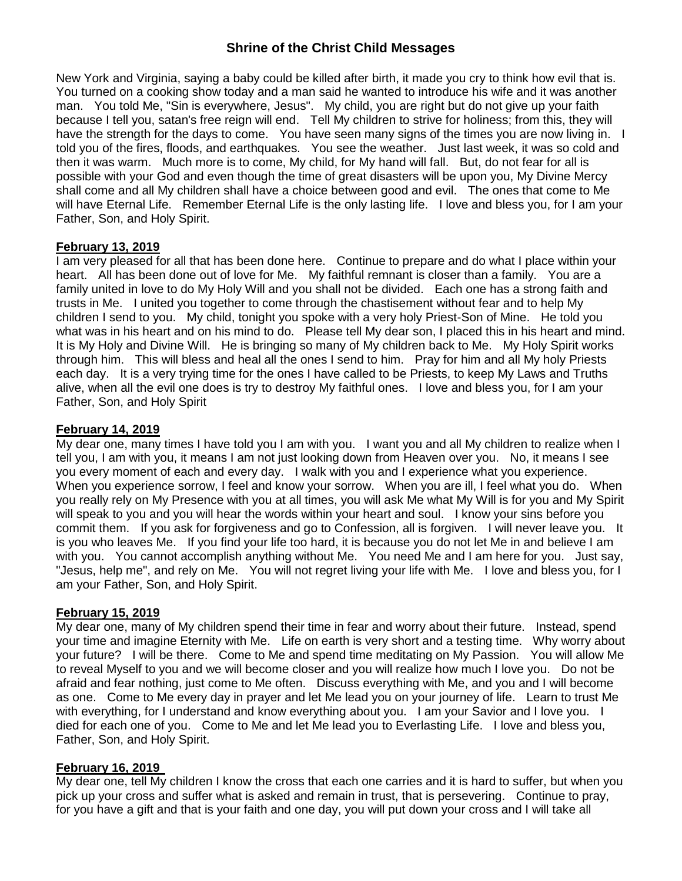New York and Virginia, saying a baby could be killed after birth, it made you cry to think how evil that is. You turned on a cooking show today and a man said he wanted to introduce his wife and it was another man. You told Me, "Sin is everywhere, Jesus". My child, you are right but do not give up your faith because I tell you, satan's free reign will end. Tell My children to strive for holiness; from this, they will have the strength for the days to come. You have seen many signs of the times you are now living in. I told you of the fires, floods, and earthquakes. You see the weather. Just last week, it was so cold and then it was warm. Much more is to come, My child, for My hand will fall. But, do not fear for all is possible with your God and even though the time of great disasters will be upon you, My Divine Mercy shall come and all My children shall have a choice between good and evil. The ones that come to Me will have Eternal Life. Remember Eternal Life is the only lasting life. I love and bless you, for I am your Father, Son, and Holy Spirit.

#### **February 13, 2019**

I am very pleased for all that has been done here. Continue to prepare and do what I place within your heart. All has been done out of love for Me. My faithful remnant is closer than a family. You are a family united in love to do My Holy Will and you shall not be divided. Each one has a strong faith and trusts in Me. I united you together to come through the chastisement without fear and to help My children I send to you. My child, tonight you spoke with a very holy Priest-Son of Mine. He told you what was in his heart and on his mind to do. Please tell My dear son, I placed this in his heart and mind. It is My Holy and Divine Will. He is bringing so many of My children back to Me. My Holy Spirit works through him. This will bless and heal all the ones I send to him. Pray for him and all My holy Priests each day. It is a very trying time for the ones I have called to be Priests, to keep My Laws and Truths alive, when all the evil one does is try to destroy My faithful ones. I love and bless you, for I am your Father, Son, and Holy Spirit

### **February 14, 2019**

My dear one, many times I have told you I am with you. I want you and all My children to realize when I tell you, I am with you, it means I am not just looking down from Heaven over you. No, it means I see you every moment of each and every day. I walk with you and I experience what you experience. When you experience sorrow, I feel and know your sorrow. When you are ill, I feel what you do. When you really rely on My Presence with you at all times, you will ask Me what My Will is for you and My Spirit will speak to you and you will hear the words within your heart and soul. I know your sins before you commit them. If you ask for forgiveness and go to Confession, all is forgiven. I will never leave you. It is you who leaves Me. If you find your life too hard, it is because you do not let Me in and believe I am with you. You cannot accomplish anything without Me. You need Me and I am here for you. Just say, "Jesus, help me", and rely on Me. You will not regret living your life with Me. I love and bless you, for I am your Father, Son, and Holy Spirit.

#### **February 15, 2019**

My dear one, many of My children spend their time in fear and worry about their future. Instead, spend your time and imagine Eternity with Me. Life on earth is very short and a testing time. Why worry about your future? I will be there. Come to Me and spend time meditating on My Passion. You will allow Me to reveal Myself to you and we will become closer and you will realize how much I love you. Do not be afraid and fear nothing, just come to Me often. Discuss everything with Me, and you and I will become as one. Come to Me every day in prayer and let Me lead you on your journey of life. Learn to trust Me with everything, for I understand and know everything about you. I am your Savior and I love you. I died for each one of you. Come to Me and let Me lead you to Everlasting Life. I love and bless you, Father, Son, and Holy Spirit.

#### **February 16, 2019**

My dear one, tell My children I know the cross that each one carries and it is hard to suffer, but when you pick up your cross and suffer what is asked and remain in trust, that is persevering. Continue to pray, for you have a gift and that is your faith and one day, you will put down your cross and I will take all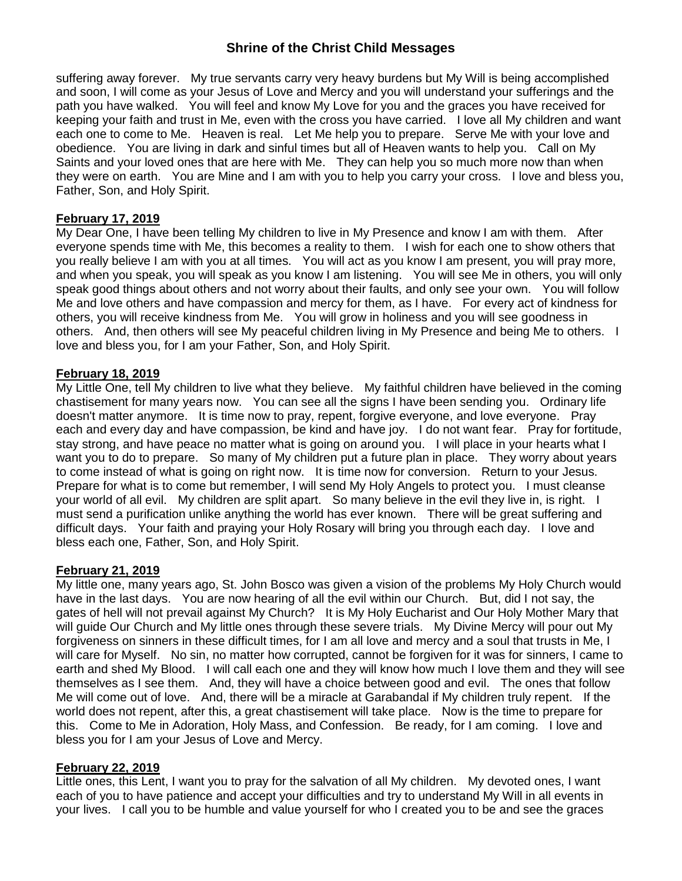suffering away forever. My true servants carry very heavy burdens but My Will is being accomplished and soon, I will come as your Jesus of Love and Mercy and you will understand your sufferings and the path you have walked. You will feel and know My Love for you and the graces you have received for keeping your faith and trust in Me, even with the cross you have carried. I love all My children and want each one to come to Me. Heaven is real. Let Me help you to prepare. Serve Me with your love and obedience. You are living in dark and sinful times but all of Heaven wants to help you. Call on My Saints and your loved ones that are here with Me. They can help you so much more now than when they were on earth. You are Mine and I am with you to help you carry your cross. I love and bless you, Father, Son, and Holy Spirit.

### **February 17, 2019**

My Dear One, I have been telling My children to live in My Presence and know I am with them. After everyone spends time with Me, this becomes a reality to them. I wish for each one to show others that you really believe I am with you at all times. You will act as you know I am present, you will pray more, and when you speak, you will speak as you know I am listening. You will see Me in others, you will only speak good things about others and not worry about their faults, and only see your own. You will follow Me and love others and have compassion and mercy for them, as I have. For every act of kindness for others, you will receive kindness from Me. You will grow in holiness and you will see goodness in others. And, then others will see My peaceful children living in My Presence and being Me to others. I love and bless you, for I am your Father, Son, and Holy Spirit.

#### **February 18, 2019**

My Little One, tell My children to live what they believe. My faithful children have believed in the coming chastisement for many years now. You can see all the signs I have been sending you. Ordinary life doesn't matter anymore. It is time now to pray, repent, forgive everyone, and love everyone. Pray each and every day and have compassion, be kind and have joy. I do not want fear. Pray for fortitude, stay strong, and have peace no matter what is going on around you. I will place in your hearts what I want you to do to prepare. So many of My children put a future plan in place. They worry about years to come instead of what is going on right now. It is time now for conversion. Return to your Jesus. Prepare for what is to come but remember, I will send My Holy Angels to protect you. I must cleanse your world of all evil. My children are split apart. So many believe in the evil they live in, is right. I must send a purification unlike anything the world has ever known. There will be great suffering and difficult days. Your faith and praying your Holy Rosary will bring you through each day. I love and bless each one, Father, Son, and Holy Spirit.

#### **February 21, 2019**

My little one, many years ago, St. John Bosco was given a vision of the problems My Holy Church would have in the last days. You are now hearing of all the evil within our Church. But, did I not say, the gates of hell will not prevail against My Church? It is My Holy Eucharist and Our Holy Mother Mary that will guide Our Church and My little ones through these severe trials. My Divine Mercy will pour out My forgiveness on sinners in these difficult times, for I am all love and mercy and a soul that trusts in Me, I will care for Myself. No sin, no matter how corrupted, cannot be forgiven for it was for sinners, I came to earth and shed My Blood. I will call each one and they will know how much I love them and they will see themselves as I see them. And, they will have a choice between good and evil. The ones that follow Me will come out of love. And, there will be a miracle at Garabandal if My children truly repent. If the world does not repent, after this, a great chastisement will take place. Now is the time to prepare for this. Come to Me in Adoration, Holy Mass, and Confession. Be ready, for I am coming. I love and bless you for I am your Jesus of Love and Mercy.

#### **February 22, 2019**

Little ones, this Lent, I want you to pray for the salvation of all My children. My devoted ones, I want each of you to have patience and accept your difficulties and try to understand My Will in all events in your lives. I call you to be humble and value yourself for who I created you to be and see the graces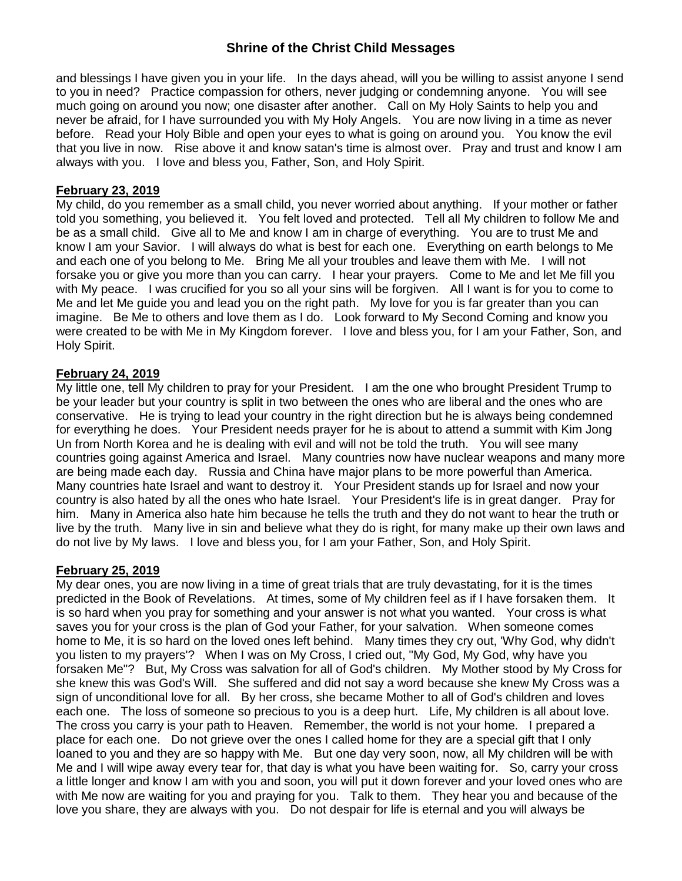and blessings I have given you in your life. In the days ahead, will you be willing to assist anyone I send to you in need? Practice compassion for others, never judging or condemning anyone. You will see much going on around you now; one disaster after another. Call on My Holy Saints to help you and never be afraid, for I have surrounded you with My Holy Angels. You are now living in a time as never before. Read your Holy Bible and open your eyes to what is going on around you. You know the evil that you live in now. Rise above it and know satan's time is almost over. Pray and trust and know I am always with you. I love and bless you, Father, Son, and Holy Spirit.

#### **February 23, 2019**

My child, do you remember as a small child, you never worried about anything. If your mother or father told you something, you believed it. You felt loved and protected. Tell all My children to follow Me and be as a small child. Give all to Me and know I am in charge of everything. You are to trust Me and know I am your Savior. I will always do what is best for each one. Everything on earth belongs to Me and each one of you belong to Me. Bring Me all your troubles and leave them with Me. I will not forsake you or give you more than you can carry. I hear your prayers. Come to Me and let Me fill you with My peace. I was crucified for you so all your sins will be forgiven. All I want is for you to come to Me and let Me guide you and lead you on the right path. My love for you is far greater than you can imagine. Be Me to others and love them as I do. Look forward to My Second Coming and know you were created to be with Me in My Kingdom forever. I love and bless you, for I am your Father, Son, and Holy Spirit.

#### **February 24, 2019**

My little one, tell My children to pray for your President. I am the one who brought President Trump to be your leader but your country is split in two between the ones who are liberal and the ones who are conservative. He is trying to lead your country in the right direction but he is always being condemned for everything he does. Your President needs prayer for he is about to attend a summit with Kim Jong Un from North Korea and he is dealing with evil and will not be told the truth. You will see many countries going against America and Israel. Many countries now have nuclear weapons and many more are being made each day. Russia and China have major plans to be more powerful than America. Many countries hate Israel and want to destroy it. Your President stands up for Israel and now your country is also hated by all the ones who hate Israel. Your President's life is in great danger. Pray for him. Many in America also hate him because he tells the truth and they do not want to hear the truth or live by the truth. Many live in sin and believe what they do is right, for many make up their own laws and do not live by My laws. I love and bless you, for I am your Father, Son, and Holy Spirit.

#### **February 25, 2019**

My dear ones, you are now living in a time of great trials that are truly devastating, for it is the times predicted in the Book of Revelations. At times, some of My children feel as if I have forsaken them. It is so hard when you pray for something and your answer is not what you wanted. Your cross is what saves you for your cross is the plan of God your Father, for your salvation. When someone comes home to Me, it is so hard on the loved ones left behind. Many times they cry out, 'Why God, why didn't you listen to my prayers'? When I was on My Cross, I cried out, "My God, My God, why have you forsaken Me"? But, My Cross was salvation for all of God's children. My Mother stood by My Cross for she knew this was God's Will. She suffered and did not say a word because she knew My Cross was a sign of unconditional love for all. By her cross, she became Mother to all of God's children and loves each one. The loss of someone so precious to you is a deep hurt. Life, My children is all about love. The cross you carry is your path to Heaven. Remember, the world is not your home. I prepared a place for each one. Do not grieve over the ones I called home for they are a special gift that I only loaned to you and they are so happy with Me. But one day very soon, now, all My children will be with Me and I will wipe away every tear for, that day is what you have been waiting for. So, carry your cross a little longer and know I am with you and soon, you will put it down forever and your loved ones who are with Me now are waiting for you and praying for you. Talk to them. They hear you and because of the love you share, they are always with you. Do not despair for life is eternal and you will always be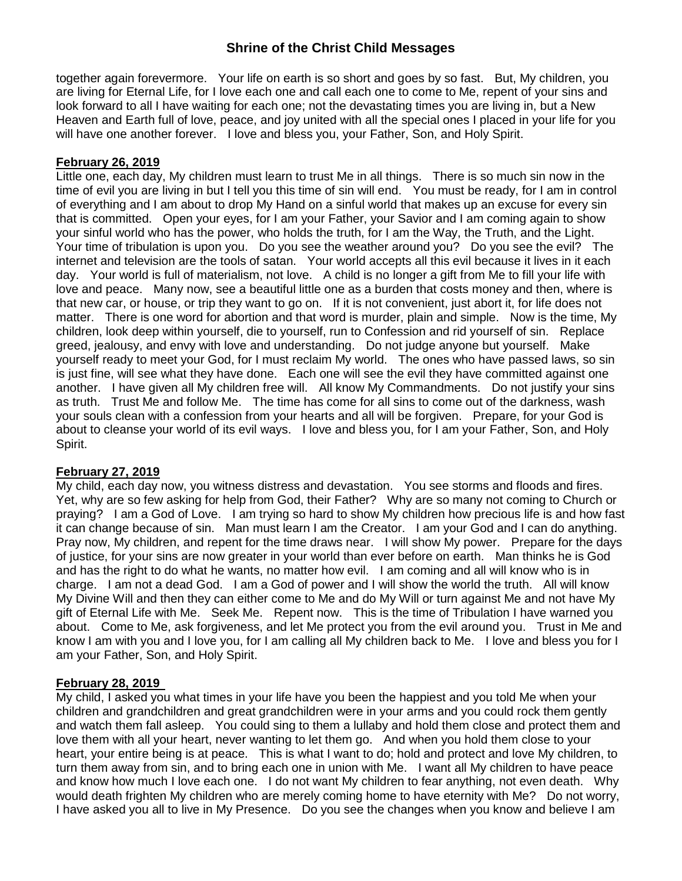together again forevermore. Your life on earth is so short and goes by so fast. But, My children, you are living for Eternal Life, for I love each one and call each one to come to Me, repent of your sins and look forward to all I have waiting for each one; not the devastating times you are living in, but a New Heaven and Earth full of love, peace, and joy united with all the special ones I placed in your life for you will have one another forever. I love and bless you, your Father, Son, and Holy Spirit.

### **February 26, 2019**

Little one, each day, My children must learn to trust Me in all things. There is so much sin now in the time of evil you are living in but I tell you this time of sin will end. You must be ready, for I am in control of everything and I am about to drop My Hand on a sinful world that makes up an excuse for every sin that is committed. Open your eyes, for I am your Father, your Savior and I am coming again to show your sinful world who has the power, who holds the truth, for I am the Way, the Truth, and the Light. Your time of tribulation is upon you. Do you see the weather around you? Do you see the evil? The internet and television are the tools of satan. Your world accepts all this evil because it lives in it each day. Your world is full of materialism, not love. A child is no longer a gift from Me to fill your life with love and peace. Many now, see a beautiful little one as a burden that costs money and then, where is that new car, or house, or trip they want to go on. If it is not convenient, just abort it, for life does not matter. There is one word for abortion and that word is murder, plain and simple. Now is the time, My children, look deep within yourself, die to yourself, run to Confession and rid yourself of sin. Replace greed, jealousy, and envy with love and understanding. Do not judge anyone but yourself. Make yourself ready to meet your God, for I must reclaim My world. The ones who have passed laws, so sin is just fine, will see what they have done. Each one will see the evil they have committed against one another. I have given all My children free will. All know My Commandments. Do not justify your sins as truth. Trust Me and follow Me. The time has come for all sins to come out of the darkness, wash your souls clean with a confession from your hearts and all will be forgiven. Prepare, for your God is about to cleanse your world of its evil ways. I love and bless you, for I am your Father, Son, and Holy Spirit.

#### **February 27, 2019**

My child, each day now, you witness distress and devastation. You see storms and floods and fires. Yet, why are so few asking for help from God, their Father? Why are so many not coming to Church or praying? I am a God of Love. I am trying so hard to show My children how precious life is and how fast it can change because of sin. Man must learn I am the Creator. I am your God and I can do anything. Pray now, My children, and repent for the time draws near. I will show My power. Prepare for the days of justice, for your sins are now greater in your world than ever before on earth. Man thinks he is God and has the right to do what he wants, no matter how evil. I am coming and all will know who is in charge. I am not a dead God. I am a God of power and I will show the world the truth. All will know My Divine Will and then they can either come to Me and do My Will or turn against Me and not have My gift of Eternal Life with Me. Seek Me. Repent now. This is the time of Tribulation I have warned you about. Come to Me, ask forgiveness, and let Me protect you from the evil around you. Trust in Me and know I am with you and I love you, for I am calling all My children back to Me. I love and bless you for I am your Father, Son, and Holy Spirit.

#### **February 28, 2019**

My child, I asked you what times in your life have you been the happiest and you told Me when your children and grandchildren and great grandchildren were in your arms and you could rock them gently and watch them fall asleep. You could sing to them a lullaby and hold them close and protect them and love them with all your heart, never wanting to let them go. And when you hold them close to your heart, your entire being is at peace. This is what I want to do; hold and protect and love My children, to turn them away from sin, and to bring each one in union with Me. I want all My children to have peace and know how much I love each one. I do not want My children to fear anything, not even death. Why would death frighten My children who are merely coming home to have eternity with Me? Do not worry, I have asked you all to live in My Presence. Do you see the changes when you know and believe I am